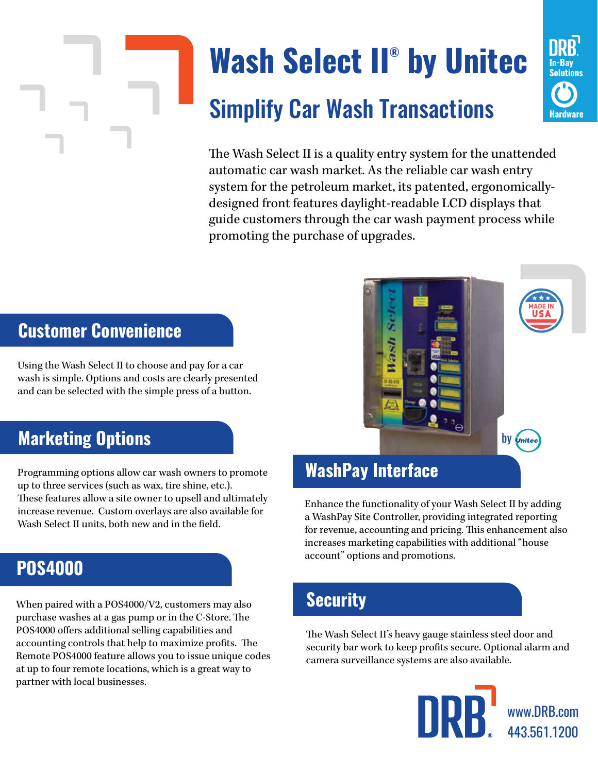# **Wash Select II® by Unitec** Simplify Car Wash Transactions



The Wash Select II is a quality entry system for the unattended automatic car wash market. As the reliable car wash entry system for the petroleum market, its patented, ergonomicallydesigned front features daylight-readable LCD displays that guide customers through the car wash payment process while promoting the purchase of upgrades.

### **Customer Convenience**

Using the Wash Select II to choose and pay for a car wash is simple. Options and costs are clearly presented and can be selected with the simple press of a button.

### **Marketing Options**

Programming options allow car wash owners to promote up to three services (such as wax, tire shine, etc.). These features allow a site owner to upsell and ultimately increase revenue. Custom overlays are also available for Wash Select II units, both new and in the field.

## **POS4000**

When paired with a POS4000/V2, customers may also purchase washes at a gas pump or in the C-Store. The POS4000 offers additional selling capabilities and accounting controls that help to maximize profits. The Remote POS4000 feature allows you to issue unique codes at up to four remote locations, which is a great way to partner with local businesses.

### **WashPay Interface**

Enhance the functionality of your Wash Select II by adding a WashPay Site Controller, providing integrated reporting for revenue, accounting and pricing. This enhancement also increases marketing capabilities with additional "house account" options and promotions.

### **Security**

The Wash Select II's heavy gauge stainless steel door and security bar work to keep profits secure. Optional alarm and camera surveillance systems are also available.



by *United*